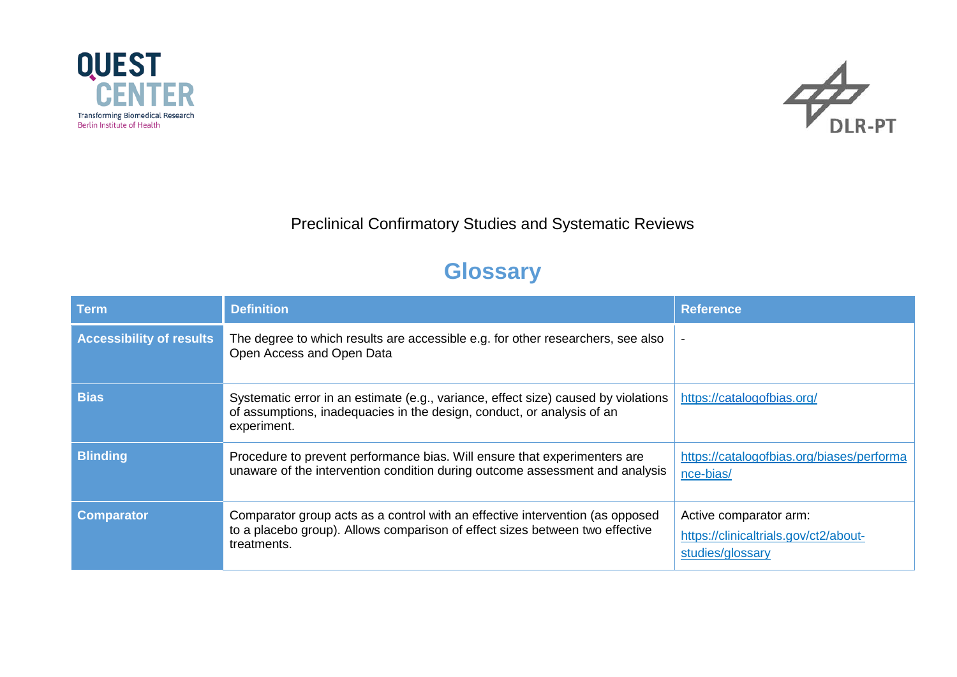



## Preclinical Confirmatory Studies and Systematic Reviews

## **Glossary**

| <b>Term</b>                     | <b>Definition</b>                                                                                                                                                            | <b>Reference</b>                                                                    |
|---------------------------------|------------------------------------------------------------------------------------------------------------------------------------------------------------------------------|-------------------------------------------------------------------------------------|
| <b>Accessibility of results</b> | The degree to which results are accessible e.g. for other researchers, see also<br>Open Access and Open Data                                                                 |                                                                                     |
| <b>Bias</b>                     | Systematic error in an estimate (e.g., variance, effect size) caused by violations<br>of assumptions, inadequacies in the design, conduct, or analysis of an<br>experiment.  | https://catalogofbias.org/                                                          |
| <b>Blinding</b>                 | Procedure to prevent performance bias. Will ensure that experimenters are<br>unaware of the intervention condition during outcome assessment and analysis                    | https://catalogofbias.org/biases/performa<br>nce-bias/                              |
| <b>Comparator</b>               | Comparator group acts as a control with an effective intervention (as opposed<br>to a placebo group). Allows comparison of effect sizes between two effective<br>treatments. | Active comparator arm:<br>https://clinicaltrials.gov/ct2/about-<br>studies/glossary |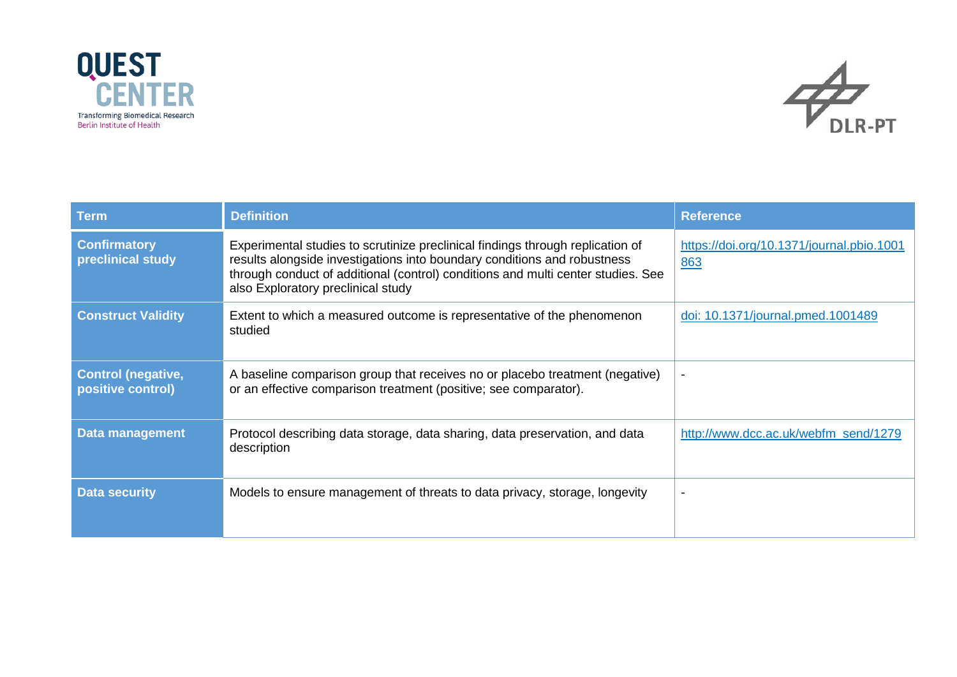



| <b>Term</b>                                    | <b>Definition</b>                                                                                                                                                                                                                                                                    | <b>Reference</b>                                 |
|------------------------------------------------|--------------------------------------------------------------------------------------------------------------------------------------------------------------------------------------------------------------------------------------------------------------------------------------|--------------------------------------------------|
| <b>Confirmatory</b><br>preclinical study       | Experimental studies to scrutinize preclinical findings through replication of<br>results alongside investigations into boundary conditions and robustness<br>through conduct of additional (control) conditions and multi center studies. See<br>also Exploratory preclinical study | https://doi.org/10.1371/journal.pbio.1001<br>863 |
| <b>Construct Validity</b>                      | Extent to which a measured outcome is representative of the phenomenon<br>studied                                                                                                                                                                                                    | doi: 10.1371/journal.pmed.1001489                |
| <b>Control (negative,</b><br>positive control) | A baseline comparison group that receives no or placebo treatment (negative)<br>or an effective comparison treatment (positive; see comparator).                                                                                                                                     |                                                  |
| <b>Data management</b>                         | Protocol describing data storage, data sharing, data preservation, and data<br>description                                                                                                                                                                                           | http://www.dcc.ac.uk/webfm_send/1279             |
| <b>Data security</b>                           | Models to ensure management of threats to data privacy, storage, longevity                                                                                                                                                                                                           |                                                  |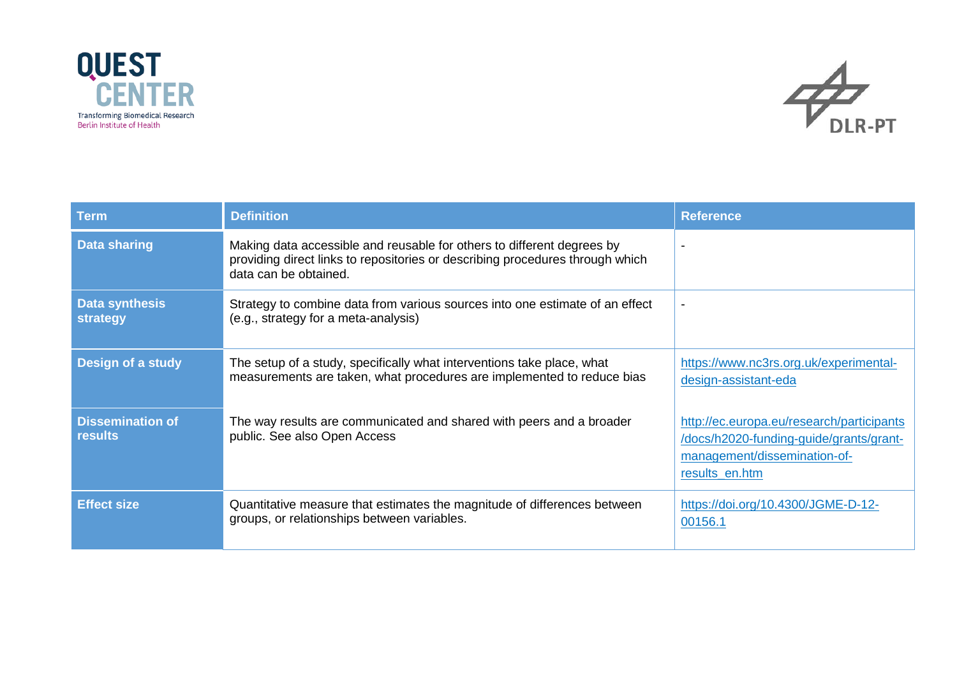



| <b>Term</b>                               | <b>Definition</b>                                                                                                                                                                | <b>Reference</b>                                                                                                                       |
|-------------------------------------------|----------------------------------------------------------------------------------------------------------------------------------------------------------------------------------|----------------------------------------------------------------------------------------------------------------------------------------|
| <b>Data sharing</b>                       | Making data accessible and reusable for others to different degrees by<br>providing direct links to repositories or describing procedures through which<br>data can be obtained. |                                                                                                                                        |
| <b>Data synthesis</b><br>strategy         | Strategy to combine data from various sources into one estimate of an effect<br>(e.g., strategy for a meta-analysis)                                                             | $\blacksquare$                                                                                                                         |
| Design of a study                         | The setup of a study, specifically what interventions take place, what<br>measurements are taken, what procedures are implemented to reduce bias                                 | https://www.nc3rs.org.uk/experimental-<br>design-assistant-eda                                                                         |
| <b>Dissemination of</b><br><b>results</b> | The way results are communicated and shared with peers and a broader<br>public. See also Open Access                                                                             | http://ec.europa.eu/research/participants<br>/docs/h2020-funding-guide/grants/grant-<br>management/dissemination-of-<br>results_en.htm |
| <b>Effect size</b>                        | Quantitative measure that estimates the magnitude of differences between<br>groups, or relationships between variables.                                                          | https://doi.org/10.4300/JGME-D-12-<br>00156.1                                                                                          |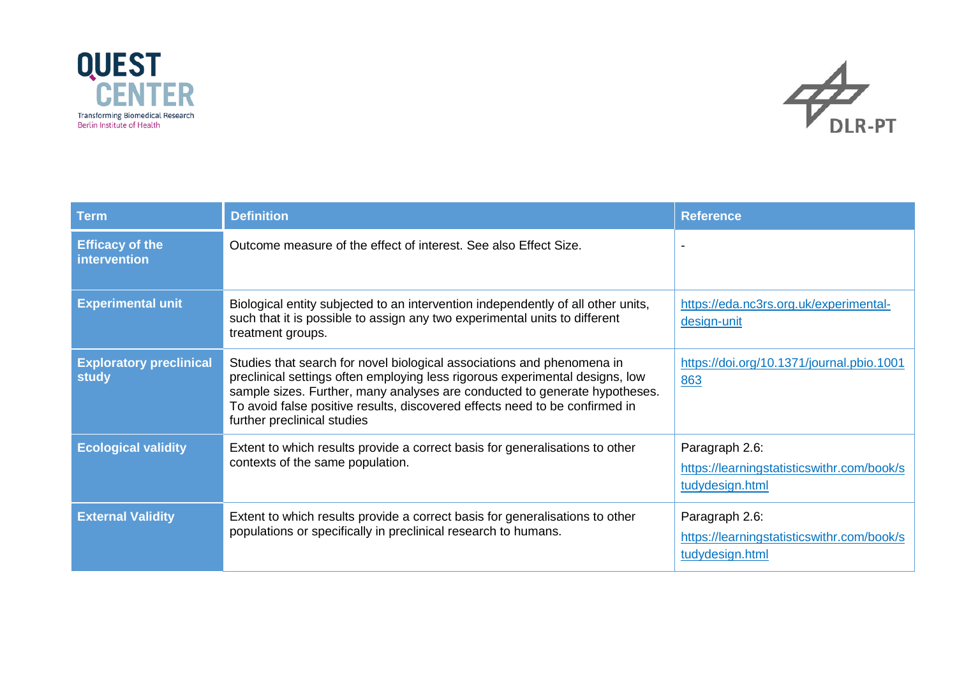



| <b>Term</b>                                    | <b>Definition</b>                                                                                                                                                                                                                                                                                                                                  | <b>Reference</b>                                                                |
|------------------------------------------------|----------------------------------------------------------------------------------------------------------------------------------------------------------------------------------------------------------------------------------------------------------------------------------------------------------------------------------------------------|---------------------------------------------------------------------------------|
| <b>Efficacy of the</b><br>intervention         | Outcome measure of the effect of interest. See also Effect Size.                                                                                                                                                                                                                                                                                   |                                                                                 |
| <b>Experimental unit</b>                       | Biological entity subjected to an intervention independently of all other units,<br>such that it is possible to assign any two experimental units to different<br>treatment groups.                                                                                                                                                                | https://eda.nc3rs.org.uk/experimental-<br>design-unit                           |
| <b>Exploratory preclinical</b><br><b>study</b> | Studies that search for novel biological associations and phenomena in<br>preclinical settings often employing less rigorous experimental designs, low<br>sample sizes. Further, many analyses are conducted to generate hypotheses.<br>To avoid false positive results, discovered effects need to be confirmed in<br>further preclinical studies | https://doi.org/10.1371/journal.pbio.1001<br>863                                |
| <b>Ecological validity</b>                     | Extent to which results provide a correct basis for generalisations to other<br>contexts of the same population.                                                                                                                                                                                                                                   | Paragraph 2.6:<br>https://learningstatisticswithr.com/book/s<br>tudydesign.html |
| <b>External Validity</b>                       | Extent to which results provide a correct basis for generalisations to other<br>populations or specifically in preclinical research to humans.                                                                                                                                                                                                     | Paragraph 2.6:<br>https://learningstatisticswithr.com/book/s<br>tudydesign.html |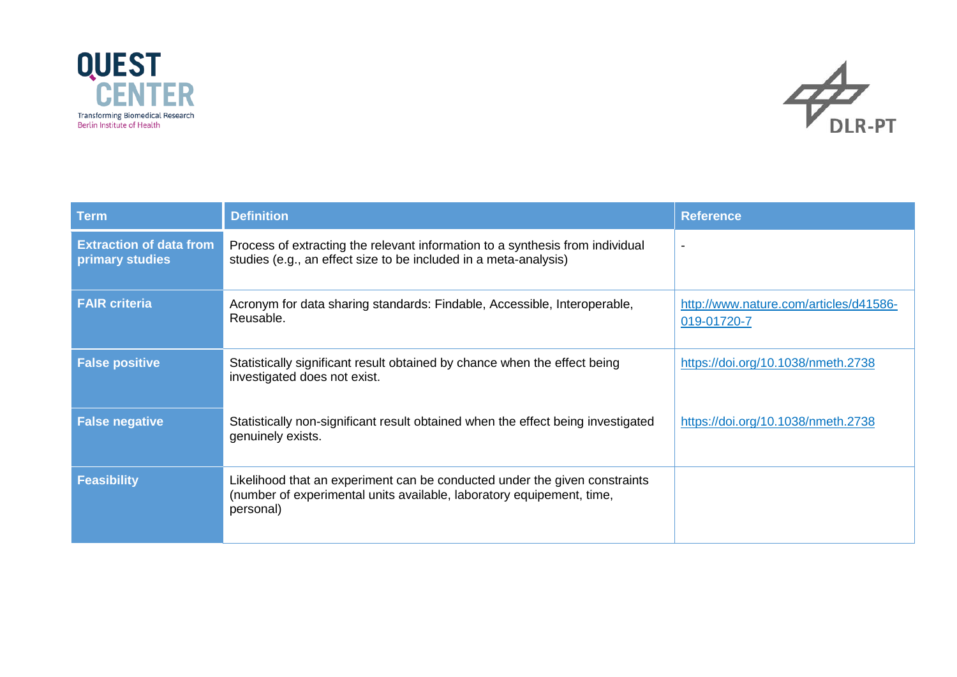



| <b>Term</b>                                       | <b>Definition</b>                                                                                                                                                | <b>Reference</b>                                      |
|---------------------------------------------------|------------------------------------------------------------------------------------------------------------------------------------------------------------------|-------------------------------------------------------|
| <b>Extraction of data from</b><br>primary studies | Process of extracting the relevant information to a synthesis from individual<br>studies (e.g., an effect size to be included in a meta-analysis)                | $\overline{\phantom{a}}$                              |
| <b>FAIR criteria</b>                              | Acronym for data sharing standards: Findable, Accessible, Interoperable,<br>Reusable.                                                                            | http://www.nature.com/articles/d41586-<br>019-01720-7 |
| <b>False positive</b>                             | Statistically significant result obtained by chance when the effect being<br>investigated does not exist.                                                        | https://doi.org/10.1038/nmeth.2738                    |
| <b>False negative</b>                             | Statistically non-significant result obtained when the effect being investigated<br>genuinely exists.                                                            | https://doi.org/10.1038/nmeth.2738                    |
| <b>Feasibility</b>                                | Likelihood that an experiment can be conducted under the given constraints<br>(number of experimental units available, laboratory equipement, time,<br>personal) |                                                       |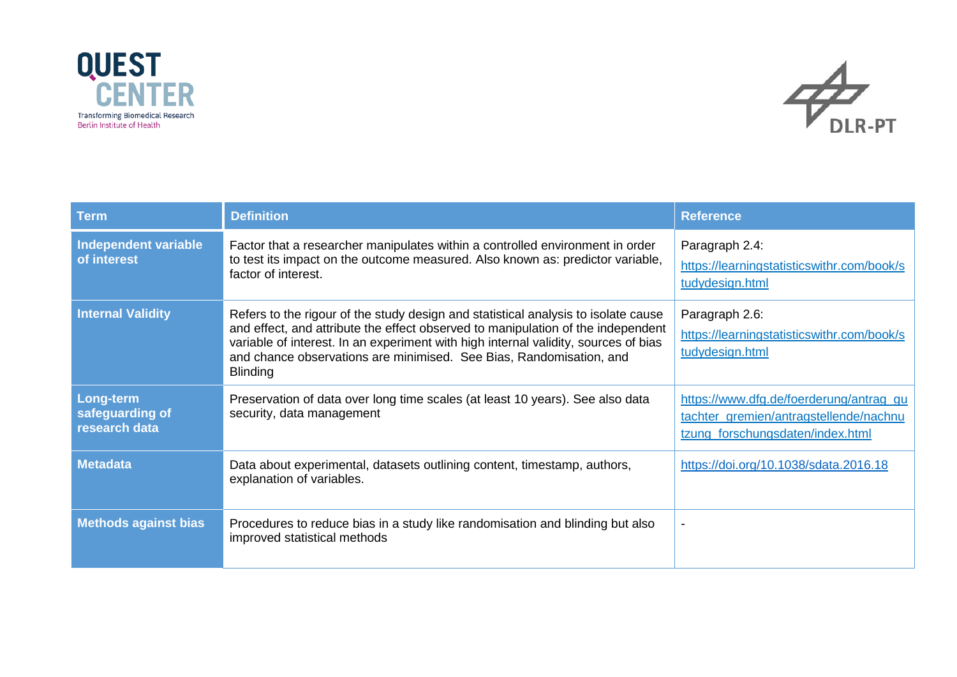



| <b>Term</b>                                   | <b>Definition</b>                                                                                                                                                                                                                                                                                                                                       | <b>Reference</b>                                                                                                      |
|-----------------------------------------------|---------------------------------------------------------------------------------------------------------------------------------------------------------------------------------------------------------------------------------------------------------------------------------------------------------------------------------------------------------|-----------------------------------------------------------------------------------------------------------------------|
| Independent variable<br>of interest           | Factor that a researcher manipulates within a controlled environment in order<br>to test its impact on the outcome measured. Also known as: predictor variable,<br>factor of interest.                                                                                                                                                                  | Paragraph 2.4:<br>https://learningstatisticswithr.com/book/s<br>tudydesign.html                                       |
| <b>Internal Validity</b>                      | Refers to the rigour of the study design and statistical analysis to isolate cause<br>and effect, and attribute the effect observed to manipulation of the independent<br>variable of interest. In an experiment with high internal validity, sources of bias<br>and chance observations are minimised. See Bias, Randomisation, and<br><b>Blinding</b> | Paragraph 2.6:<br>https://learningstatisticswithr.com/book/s<br>tudydesign.html                                       |
| Long-term<br>safeguarding of<br>research data | Preservation of data over long time scales (at least 10 years). See also data<br>security, data management                                                                                                                                                                                                                                              | https://www.dfg.de/foerderung/antrag_qu<br>tachter_gremien/antragstellende/nachnu<br>tzung forschungsdaten/index.html |
| <b>Metadata</b>                               | Data about experimental, datasets outlining content, timestamp, authors,<br>explanation of variables.                                                                                                                                                                                                                                                   | https://doi.org/10.1038/sdata.2016.18                                                                                 |
| <b>Methods against bias</b>                   | Procedures to reduce bias in a study like randomisation and blinding but also<br>improved statistical methods                                                                                                                                                                                                                                           | $\overline{\phantom{a}}$                                                                                              |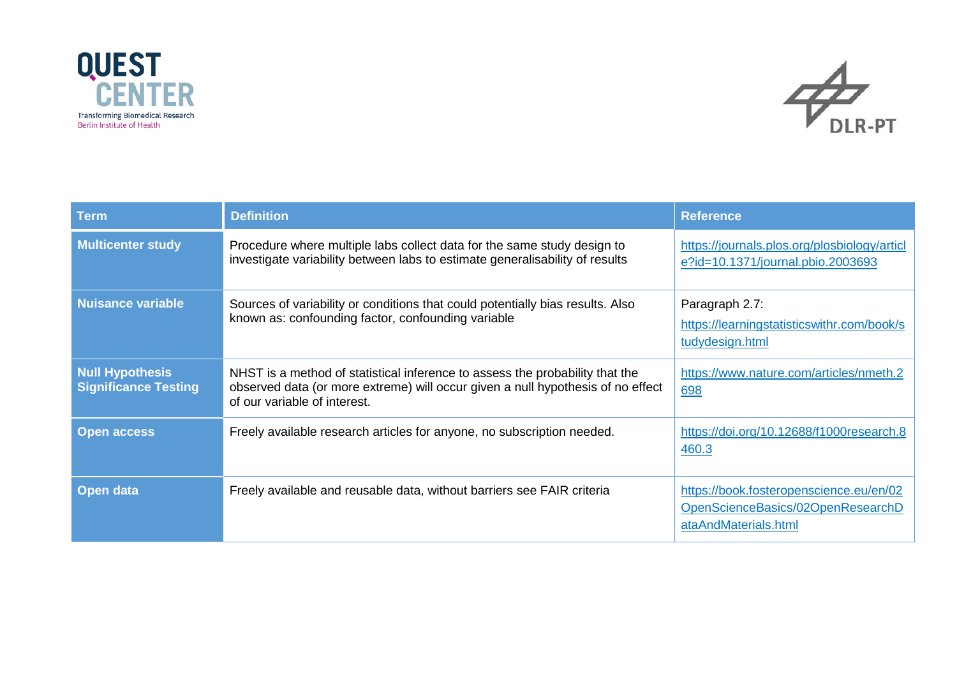



| Term                                                  | <b>Definition</b>                                                                                                                                                                               | <b>Reference</b>                                                                                     |
|-------------------------------------------------------|-------------------------------------------------------------------------------------------------------------------------------------------------------------------------------------------------|------------------------------------------------------------------------------------------------------|
| <b>Multicenter study</b>                              | Procedure where multiple labs collect data for the same study design to<br>investigate variability between labs to estimate generalisability of results                                         | https://journals.plos.org/plosbiology/articl<br>e?id=10.1371/journal.pbio.2003693                    |
| <b>Nuisance variable</b>                              | Sources of variability or conditions that could potentially bias results. Also<br>known as: confounding factor, confounding variable                                                            | Paragraph 2.7:<br>https://learningstatisticswithr.com/book/s<br>tudydesign.html                      |
| <b>Null Hypothesis</b><br><b>Significance Testing</b> | NHST is a method of statistical inference to assess the probability that the<br>observed data (or more extreme) will occur given a null hypothesis of no effect<br>of our variable of interest. | https://www.nature.com/articles/nmeth.2<br>698                                                       |
| <b>Open access</b>                                    | Freely available research articles for anyone, no subscription needed.                                                                                                                          | https://doi.org/10.12688/f1000research.8<br>460.3                                                    |
| <b>Open data</b>                                      | Freely available and reusable data, without barriers see FAIR criteria                                                                                                                          | https://book.fosteropenscience.eu/en/02<br>OpenScienceBasics/02OpenResearchD<br>ataAndMaterials.html |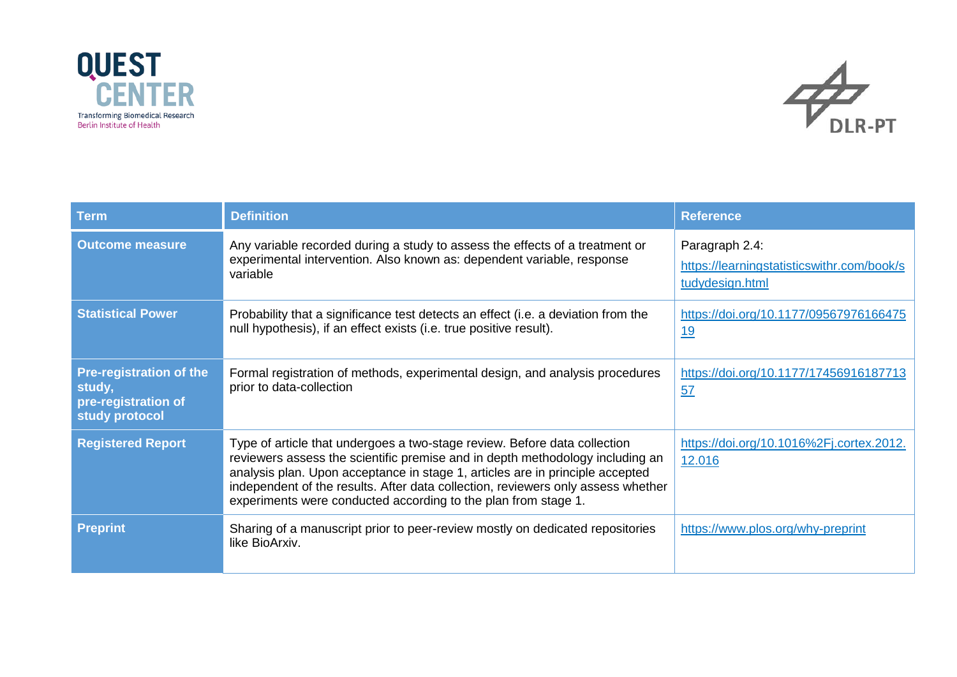



| <b>Term</b>                                                                       | <b>Definition</b>                                                                                                                                                                                                                                                                                                                                                                                 | <b>Reference</b>                                                                |
|-----------------------------------------------------------------------------------|---------------------------------------------------------------------------------------------------------------------------------------------------------------------------------------------------------------------------------------------------------------------------------------------------------------------------------------------------------------------------------------------------|---------------------------------------------------------------------------------|
| <b>Outcome measure</b>                                                            | Any variable recorded during a study to assess the effects of a treatment or<br>experimental intervention. Also known as: dependent variable, response<br>variable                                                                                                                                                                                                                                | Paragraph 2.4:<br>https://learningstatisticswithr.com/book/s<br>tudydesign.html |
| <b>Statistical Power</b>                                                          | Probability that a significance test detects an effect (i.e. a deviation from the<br>null hypothesis), if an effect exists (i.e. true positive result).                                                                                                                                                                                                                                           | https://doi.org/10.1177/09567976166475<br><u>19</u>                             |
| <b>Pre-registration of the</b><br>study,<br>pre-registration of<br>study protocol | Formal registration of methods, experimental design, and analysis procedures<br>prior to data-collection                                                                                                                                                                                                                                                                                          | https://doi.org/10.1177/17456916187713<br>57                                    |
| <b>Registered Report</b>                                                          | Type of article that undergoes a two-stage review. Before data collection<br>reviewers assess the scientific premise and in depth methodology including an<br>analysis plan. Upon acceptance in stage 1, articles are in principle accepted<br>independent of the results. After data collection, reviewers only assess whether<br>experiments were conducted according to the plan from stage 1. | https://doi.org/10.1016%2Fj.cortex.2012.<br>12.016                              |
| <b>Preprint</b>                                                                   | Sharing of a manuscript prior to peer-review mostly on dedicated repositories<br>like BioArxiv.                                                                                                                                                                                                                                                                                                   | https://www.plos.org/why-preprint                                               |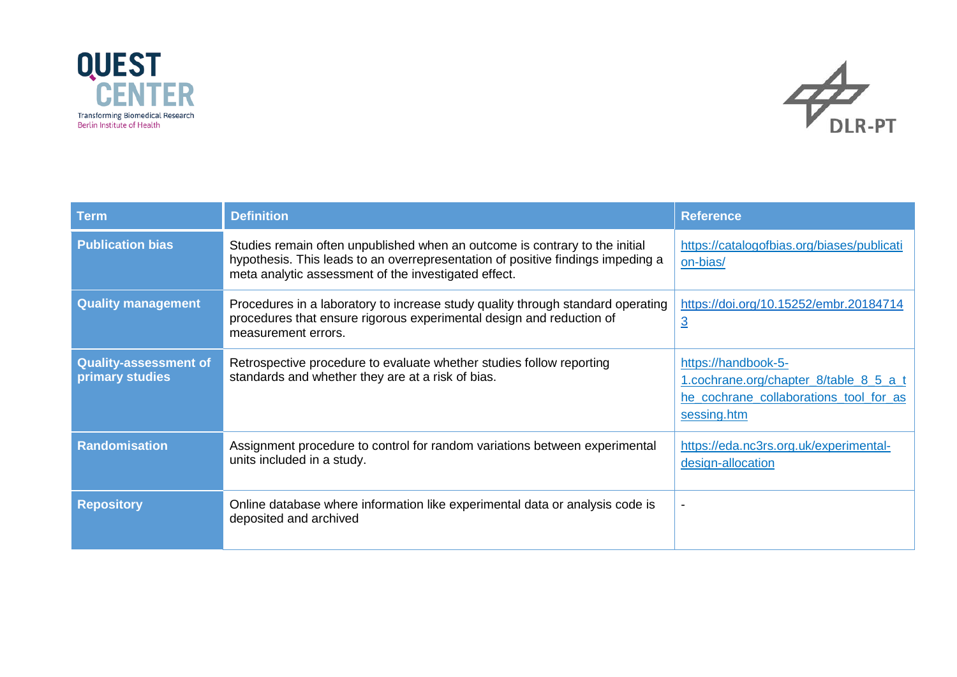



| <b>Term</b>                                     | <b>Definition</b>                                                                                                                                                                                                      | <b>Reference</b>                                                                                                       |
|-------------------------------------------------|------------------------------------------------------------------------------------------------------------------------------------------------------------------------------------------------------------------------|------------------------------------------------------------------------------------------------------------------------|
| <b>Publication bias</b>                         | Studies remain often unpublished when an outcome is contrary to the initial<br>hypothesis. This leads to an overrepresentation of positive findings impeding a<br>meta analytic assessment of the investigated effect. | https://catalogofbias.org/biases/publicati<br>on-bias/                                                                 |
| <b>Quality management</b>                       | Procedures in a laboratory to increase study quality through standard operating<br>procedures that ensure rigorous experimental design and reduction of<br>measurement errors.                                         | https://doi.org/10.15252/embr.20184714<br>$\overline{3}$                                                               |
| <b>Quality-assessment of</b><br>primary studies | Retrospective procedure to evaluate whether studies follow reporting<br>standards and whether they are at a risk of bias.                                                                                              | https://handbook-5-<br>1.cochrane.org/chapter_8/table_8_5_a_t<br>he_cochrane_collaborations_tool_for_as<br>sessing.htm |
| <b>Randomisation</b>                            | Assignment procedure to control for random variations between experimental<br>units included in a study.                                                                                                               | https://eda.nc3rs.org.uk/experimental-<br>design-allocation                                                            |
| <b>Repository</b>                               | Online database where information like experimental data or analysis code is<br>deposited and archived                                                                                                                 |                                                                                                                        |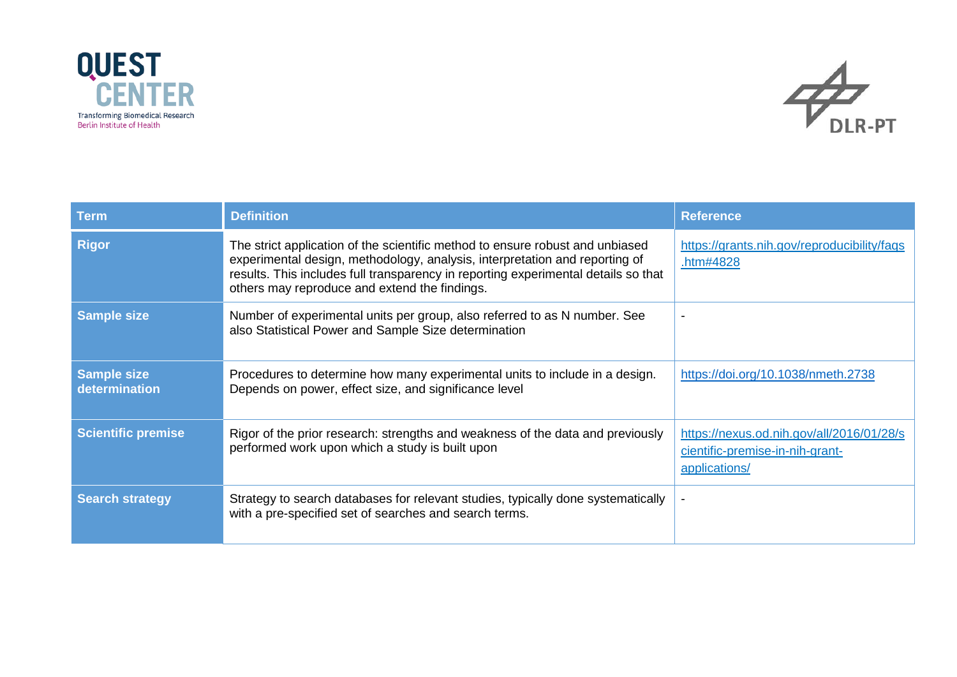



| <b>Term</b>                         | <b>Definition</b>                                                                                                                                                                                                                                                                                   | <b>Reference</b>                                                                              |
|-------------------------------------|-----------------------------------------------------------------------------------------------------------------------------------------------------------------------------------------------------------------------------------------------------------------------------------------------------|-----------------------------------------------------------------------------------------------|
| <b>Rigor</b>                        | The strict application of the scientific method to ensure robust and unbiased<br>experimental design, methodology, analysis, interpretation and reporting of<br>results. This includes full transparency in reporting experimental details so that<br>others may reproduce and extend the findings. | https://grants.nih.gov/reproducibility/faqs<br>.htm#4828                                      |
| <b>Sample size</b>                  | Number of experimental units per group, also referred to as N number. See<br>also Statistical Power and Sample Size determination                                                                                                                                                                   |                                                                                               |
| <b>Sample size</b><br>determination | Procedures to determine how many experimental units to include in a design.<br>Depends on power, effect size, and significance level                                                                                                                                                                | https://doi.org/10.1038/nmeth.2738                                                            |
| <b>Scientific premise</b>           | Rigor of the prior research: strengths and weakness of the data and previously<br>performed work upon which a study is built upon                                                                                                                                                                   | https://nexus.od.nih.gov/all/2016/01/28/s<br>cientific-premise-in-nih-grant-<br>applications/ |
| <b>Search strategy</b>              | Strategy to search databases for relevant studies, typically done systematically<br>with a pre-specified set of searches and search terms.                                                                                                                                                          |                                                                                               |